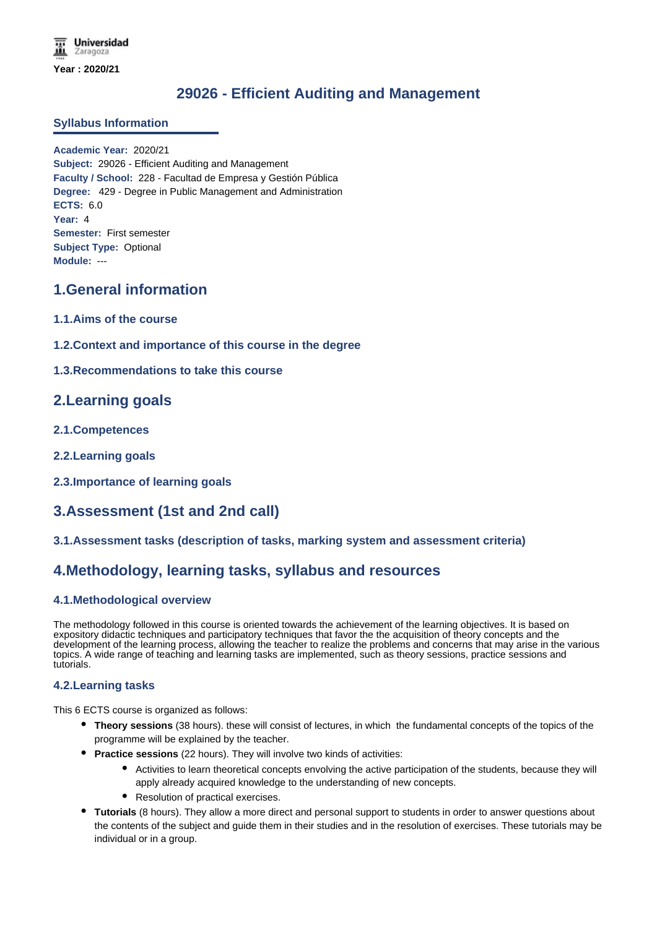# **29026 - Efficient Auditing and Management**

### **Syllabus Information**

**Academic Year:** 2020/21 **Subject:** 29026 - Efficient Auditing and Management **Faculty / School:** 228 - Facultad de Empresa y Gestión Pública **Degree:** 429 - Degree in Public Management and Administration **ECTS:** 6.0 **Year:** 4 **Semester:** First semester **Subject Type:** Optional **Module:** ---

### **1.General information**

- **1.1.Aims of the course**
- **1.2.Context and importance of this course in the degree**

### **1.3.Recommendations to take this course**

### **2.Learning goals**

- **2.1.Competences**
- **2.2.Learning goals**
- **2.3.Importance of learning goals**

## **3.Assessment (1st and 2nd call)**

### **3.1.Assessment tasks (description of tasks, marking system and assessment criteria)**

## **4.Methodology, learning tasks, syllabus and resources**

### **4.1.Methodological overview**

The methodology followed in this course is oriented towards the achievement of the learning objectives. It is based on expository didactic techniques and participatory techniques that favor the the acquisition of theory concepts and the development of the learning process, allowing the teacher to realize the problems and concerns that may arise in the various topics. A wide range of teaching and learning tasks are implemented, such as theory sessions, practice sessions and tutorials.

### **4.2.Learning tasks**

This 6 ECTS course is organized as follows:

- **Theory sessions** (38 hours). these will consist of lectures, in which the fundamental concepts of the topics of the programme will be explained by the teacher.
- **Practice sessions** (22 hours). They will involve two kinds of activities:
	- Activities to learn theoretical concepts envolving the active participation of the students, because they will apply already acquired knowledge to the understanding of new concepts.
	- Resolution of practical exercises.
- **Tutorials** (8 hours). They allow a more direct and personal support to students in order to answer questions about the contents of the subject and guide them in their studies and in the resolution of exercises. These tutorials may be individual or in a group.